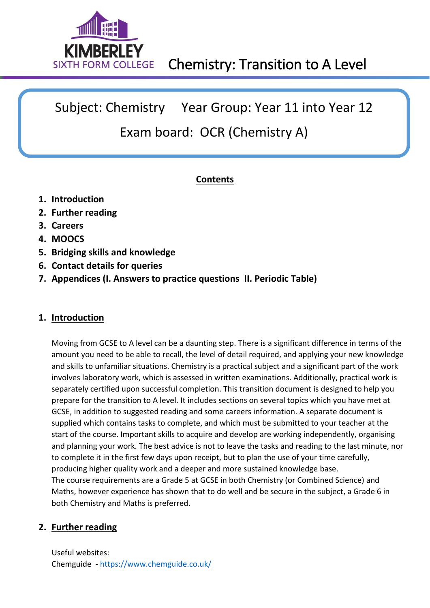

Subject: Chemistry Year Group: Year 11 into Year 12

# Exam board: OCR (Chemistry A)

# **Contents**

- **1. Introduction**
- **2. Further reading**
- **3. Careers**
- **4. MOOCS**
- **5. Bridging skills and knowledge**
- **6. Contact details for queries**
- **7. Appendices (I. Answers to practice questions II. Periodic Table)**

# **1. Introduction**

Moving from GCSE to A level can be a daunting step. There is a significant difference in terms of the amount you need to be able to recall, the level of detail required, and applying your new knowledge and skills to unfamiliar situations. Chemistry is a practical subject and a significant part of the work involves laboratory work, which is assessed in written examinations. Additionally, practical work is separately certified upon successful completion. This transition document is designed to help you prepare for the transition to A level. It includes sections on several topics which you have met at GCSE, in addition to suggested reading and some careers information. A separate document is supplied which contains tasks to complete, and which must be submitted to your teacher at the start of the course. Important skills to acquire and develop are working independently, organising and planning your work. The best advice is not to leave the tasks and reading to the last minute, nor to complete it in the first few days upon receipt, but to plan the use of your time carefully, producing higher quality work and a deeper and more sustained knowledge base. The course requirements are a Grade 5 at GCSE in both Chemistry (or Combined Science) and Maths, however experience has shown that to do well and be secure in the subject, a Grade 6 in both Chemistry and Maths is preferred.

# **2. Further reading**

Useful websites: Chemguide - <https://www.chemguide.co.uk/>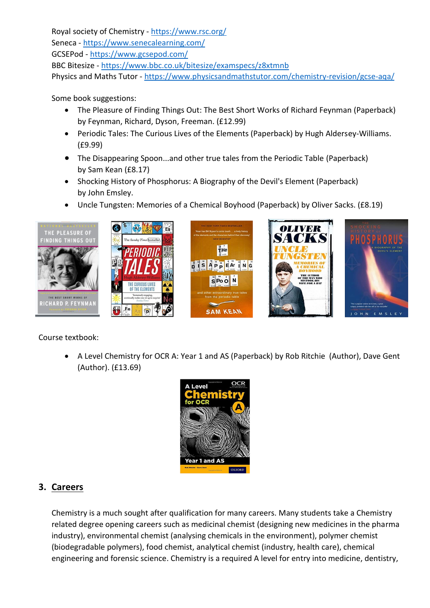Royal society of Chemistry - <https://www.rsc.org/> Seneca - <https://www.senecalearning.com/> GCSEPod - <https://www.gcsepod.com/> BBC Bitesize - <https://www.bbc.co.uk/bitesize/examspecs/z8xtmnb> Physics and Maths Tutor - <https://www.physicsandmathstutor.com/chemistry-revision/gcse-aqa/>

Some book suggestions:

- The Pleasure of Finding Things Out: The Best Short Works of Richard Feynman (Paperback) by Feynman, Richard, Dyson, Freeman. (£12.99)
- Periodic Tales: The Curious Lives of the Elements (Paperback) by Hugh Aldersey-Williams. (£9.99)
- The Disappearing Spoon...and other true tales from the Periodic Table (Paperback) by Sam Kean (£8.17)
- Shocking History of Phosphorus: A Biography of the Devil's Element (Paperback) by John Emsley.
- Uncle Tungsten: Memories of a Chemical Boyhood (Paperback) by Oliver Sacks. (£8.19)



Course textbook:

• A Level Chemistry for OCR A: Year 1 and AS (Paperback) by Rob Ritchie (Author), Dave Gent (Author). (£13.69)



# **3. Careers**

Chemistry is a much sought after qualification for many careers. Many students take a Chemistry related degree opening careers such as medicinal chemist (designing new medicines in the pharma industry), environmental chemist (analysing chemicals in the environment), polymer chemist (biodegradable polymers), food chemist, analytical chemist (industry, health care), chemical engineering and forensic science. Chemistry is a required A level for entry into medicine, dentistry,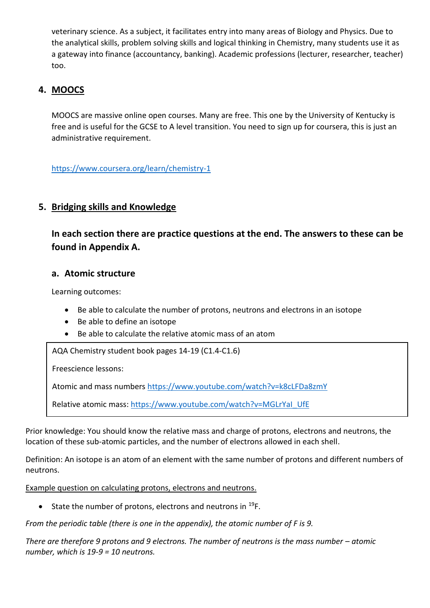veterinary science. As a subject, it facilitates entry into many areas of Biology and Physics. Due to the analytical skills, problem solving skills and logical thinking in Chemistry, many students use it as a gateway into finance (accountancy, banking). Academic professions (lecturer, researcher, teacher) too.

# **4. MOOCS**

MOOCS are massive online open courses. Many are free. This one by the University of Kentucky is free and is useful for the GCSE to A level transition. You need to sign up for coursera, this is just an administrative requirement.

<https://www.coursera.org/learn/chemistry-1>

# **5. Bridging skills and Knowledge**

**In each section there are practice questions at the end. The answers to these can be found in Appendix A.**

# **a. Atomic structure**

Learning outcomes:

- Be able to calculate the number of protons, neutrons and electrons in an isotope
- Be able to define an isotope
- Be able to calculate the relative atomic mass of an atom

• AQA Chemistry student book pages 14-19 (C1.4-C1.6)

Freescience lessons:

Atomic and mass numbers<https://www.youtube.com/watch?v=k8cLFDa8zmY>

Relative atomic mass: [https://www.youtube.com/watch?v=MGLrYaI\\_UfE](https://www.youtube.com/watch?v=MGLrYaI_UfE)

Prior knowledge: You should know the relative mass and charge of protons, electrons and neutrons, the location of these sub-atomic particles, and the number of electrons allowed in each shell.

Definition: An isotope is an atom of an element with the same number of protons and different numbers of neutrons.

Example question on calculating protons, electrons and neutrons.

• State the number of protons, electrons and neutrons in  $^{19}F$ .

*From the periodic table (there is one in the appendix), the atomic number of F is 9.*

*There are therefore 9 protons and 9 electrons. The number of neutrons is the mass number – atomic number, which is 19-9 = 10 neutrons.*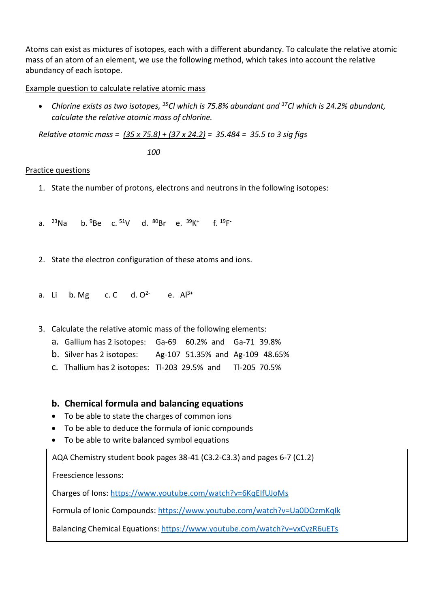Atoms can exist as mixtures of isotopes, each with a different abundancy. To calculate the relative atomic mass of an atom of an element, we use the following method, which takes into account the relative abundancy of each isotope.

Example question to calculate relative atomic mass

• *Chlorine exists as two isotopes, <sup>35</sup>Cl which is 75.8% abundant and <sup>37</sup>Cl which is 24.2% abundant, calculate the relative atomic mass of chlorine.*

*Relative atomic mass = (35 x 75.8) + (37 x 24.2) = 35.484 = 35.5 to 3 sig figs*

 *100*

### Practice questions

- 1. State the number of protons, electrons and neutrons in the following isotopes:
- a. <sup>23</sup>Na b. <sup>9</sup>Be c. <sup>51</sup>V d. <sup>80</sup>Br e. <sup>39</sup>K<sup>+</sup> f. <sup>19</sup>F<sup>-</sup>
- 2. State the electron configuration of these atoms and ions.
- a. Li  $b. Mg$  c. C  $d. O<sup>2</sup>$ e.  $Al^{3+}$
- 3. Calculate the relative atomic mass of the following elements:
	- a. Gallium has 2 isotopes: Ga-69 60.2% and Ga-71 39.8%
	- b. Silver has 2 isotopes: Ag-107 51.35% and Ag-109 48.65%
	- c. Thallium has 2 isotopes: Tl-203 29.5% and Tl-205 70.5%

# **b. Chemical formula and balancing equations**

- To be able to state the charges of common ions
- To be able to deduce the formula of ionic compounds
- To be able to write balanced symbol equations

 $\overline{\phantom{a}}$ AQA Chemistry student book pages 38-41 (C3.2-C3.3) and pages 6-7 (C1.2)

Freescience lessons:

Charges of Ions:<https://www.youtube.com/watch?v=6KqEIfUJoMs>

Formula of Ionic Compounds[: https://www.youtube.com/watch?v=Ua0DOzmKqIk](https://www.youtube.com/watch?v=Ua0DOzmKqIk)

Balancing Chemical Equations:<https://www.youtube.com/watch?v=vxCyzR6uETs>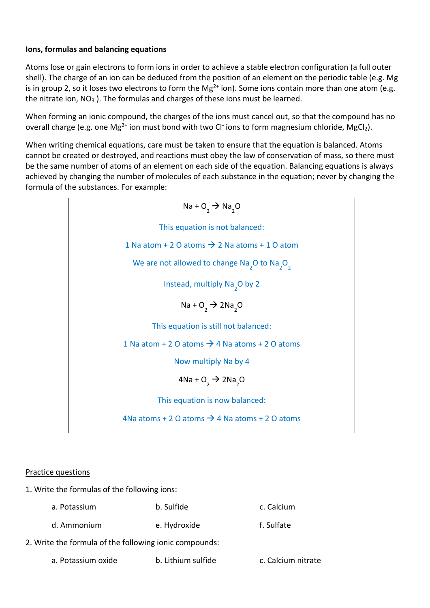# **Ions, formulas and balancing equations**

Atoms lose or gain electrons to form ions in order to achieve a stable electron configuration (a full outer shell). The charge of an ion can be deduced from the position of an element on the periodic table (e.g. Mg is in group 2, so it loses two electrons to form the Mg<sup>2+</sup> ion). Some ions contain more than one atom (e.g. the nitrate ion,  $NO_3$ <sup>-</sup>). The formulas and charges of these ions must be learned.

When forming an ionic compound, the charges of the ions must cancel out, so that the compound has no overall charge (e.g. one Mg<sup>2+</sup> ion must bond with two Cl<sup>-</sup> ions to form magnesium chloride, MgCl<sub>2</sub>).

When writing chemical equations, care must be taken to ensure that the equation is balanced. Atoms cannot be created or destroyed, and reactions must obey the law of conservation of mass, so there must be the same number of atoms of an element on each side of the equation. Balancing equations is always achieved by changing the number of molecules of each substance in the equation; never by changing the formula of the substances. For example:

> $Na + O<sub>2</sub> \rightarrow Na<sub>2</sub>O$ This equation is not balanced: 1 Na atom + 2 O atoms  $\rightarrow$  2 Na atoms + 1 O atom We are not allowed to change  $\text{Na}_2\text{O}$  to  $\text{Na}_2\text{O}_2$ Instead, multiply  $\text{Na}_2\text{O}$  by 2  $Na + O<sub>2</sub> \rightarrow 2Na<sub>2</sub>O$ This equation is still not balanced: 1 Na atom + 2 O atoms  $\rightarrow$  4 Na atoms + 2 O atoms Now multiply Na by 4  $4$ Na + O<sub>2</sub>  $\rightarrow$  2Na<sub>2</sub>O This equation is now balanced: 4Na atoms + 2 O atoms  $\rightarrow$  4 Na atoms + 2 O atoms

# Practice questions

- 1. Write the formulas of the following ions:
	- a. Potassium b. Sulfide c. Calcium
	- d. Ammonium e. Hydroxide f. Sulfate

2. Write the formula of the following ionic compounds:

a. Potassium oxide b. Lithium sulfide c. Calcium nitrate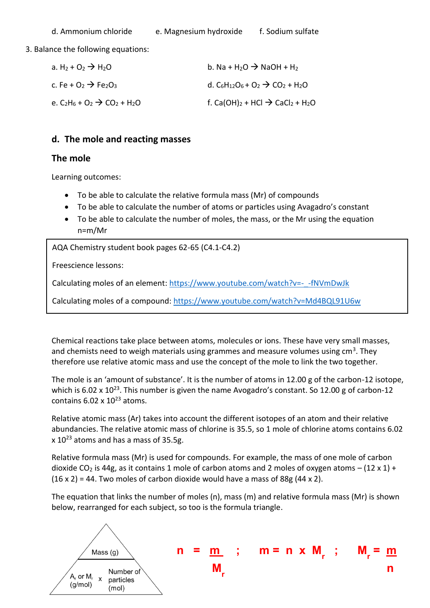3. Balance the following equations:

| a. $H_2 + O_2 \rightarrow H_2O$                          | b. Na + H <sub>2</sub> O $\rightarrow$ NaOH + H <sub>2</sub>                                                       |
|----------------------------------------------------------|--------------------------------------------------------------------------------------------------------------------|
| c. Fe + $O_2 \rightarrow$ Fe <sub>2</sub> O <sub>3</sub> | d. C <sub>6</sub> H <sub>12</sub> O <sub>6</sub> + O <sub>2</sub> $\rightarrow$ CO <sub>2</sub> + H <sub>2</sub> O |
| e. $C_2H_6 + O_2 \rightarrow CO_2 + H_2O$                | f. Ca(OH) <sub>2</sub> + HCl $\rightarrow$ CaCl <sub>2</sub> + H <sub>2</sub> O                                    |

# **d. The mole and reacting masses**

# **The mole**

Learning outcomes:

- To be able to calculate the relative formula mass (Mr) of compounds
- To be able to calculate the number of atoms or particles using Avagadro's constant
- To be able to calculate the number of moles, the mass, or the Mr using the equation n=m/Mr

ً<br>^ AQA Chemistry student book pages 62-65 (C4.1-C4.2)

Freescience lessons:

Calculating moles of an element: [https://www.youtube.com/watch?v=-\\_-fNVmDwJk](https://www.youtube.com/watch?v=-_-fNVmDwJk)

Calculating moles of a compound:<https://www.youtube.com/watch?v=Md4BQL91U6w>

Chemical reactions take place between atoms, molecules or ions. These have very small masses, and chemists need to weigh materials using grammes and measure volumes using cm<sup>3</sup>. They therefore use relative atomic mass and use the concept of the mole to link the two together.

The mole is an 'amount of substance'. It is the number of atoms in 12.00 g of the carbon-12 isotope, which is 6.02 x 10<sup>23</sup>. This number is given the name Avogadro's constant. So 12.00 g of carbon-12 contains  $6.02 \times 10^{23}$  atoms.

Relative atomic mass (Ar) takes into account the different isotopes of an atom and their relative abundancies. The relative atomic mass of chlorine is 35.5, so 1 mole of chlorine atoms contains 6.02 x 10<sup>23</sup> atoms and has a mass of 35.5g.

Relative formula mass (Mr) is used for compounds. For example, the mass of one mole of carbon dioxide CO<sub>2</sub> is 44g, as it contains 1 mole of carbon atoms and 2 moles of oxygen atoms – (12 x 1) +  $(16 \times 2) = 44$ . Two moles of carbon dioxide would have a mass of 88g  $(44 \times 2)$ .

The equation that links the number of moles (n), mass (m) and relative formula mass (Mr) is shown below, rearranged for each subject, so too is the formula triangle.

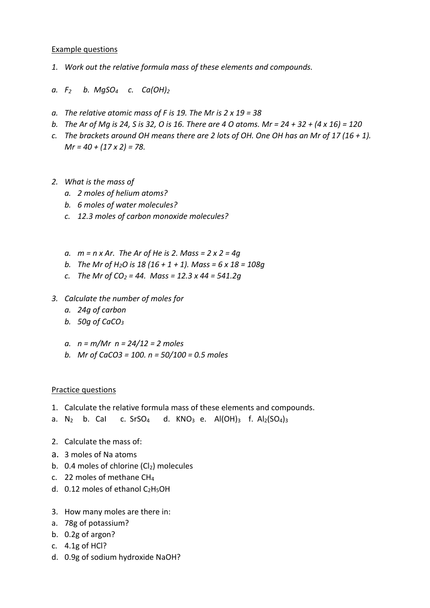### Example questions

- *1. Work out the relative formula mass of these elements and compounds.*
- *a. F2 b. MgSO4 c. Ca(OH)<sup>2</sup>*
- *a. The relative atomic mass of F is 19. The Mr is 2 x 19 = 38*
- *b. The Ar of Mg is 24, S is 32, O is 16. There are 4 O atoms. Mr = 24 + 32 + (4 x 16) = 120*
- *c. The brackets around OH means there are 2 lots of OH. One OH has an Mr of 17 (16 + 1). Mr = 40 + (17 x 2) = 78.*
- *2. What is the mass of*
	- *a. 2 moles of helium atoms?*
	- *b. 6 moles of water molecules?*
	- *c. 12.3 moles of carbon monoxide molecules?*
	- *a. m = n x Ar. The Ar of He is 2. Mass = 2 x 2 = 4g*
	- *b. The Mr of H2O is 18 (16 + 1 + 1). Mass = 6 x 18 = 108g*
	- *c. The Mr of CO<sup>2</sup> = 44. Mass = 12.3 x 44 = 541.2g*
- *3. Calculate the number of moles for*
	- *a. 24g of carbon*
	- *b. 50g of CaCO<sup>3</sup>*
	- *a. n = m/Mr n = 24/12 = 2 moles*
	- *b. Mr of CaCO3 = 100. n = 50/100 = 0.5 moles*

### Practice questions

- 1. Calculate the relative formula mass of these elements and compounds.
- a. N<sub>2</sub> b. Cal c. SrSO<sub>4</sub> d. KNO<sub>3</sub> e. Al(OH)<sub>3</sub> f. Al<sub>2</sub>(SO<sub>4</sub>)<sub>3</sub>
- 2. Calculate the mass of:
- a. 3 moles of Na atoms
- b. 0.4 moles of chlorine  $(Cl<sub>2</sub>)$  molecules
- c. 22 moles of methane CH<sup>4</sup>
- d.  $0.12$  moles of ethanol C<sub>2</sub>H<sub>5</sub>OH
- 3. How many moles are there in:
- a. 78g of potassium?
- b. 0.2g of argon?
- c. 4.1g of HCl?
- d. 0.9g of sodium hydroxide NaOH?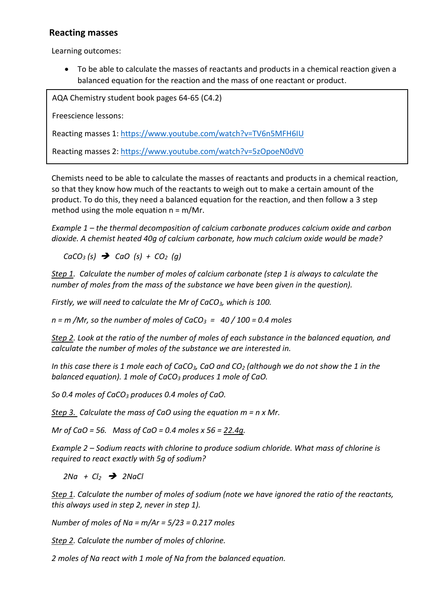# **Reacting masses**

Learning outcomes:

• To be able to calculate the masses of reactants and products in a chemical reaction given a balanced equation for the reaction and the mass of one reactant or product.

ً<br>' AQA Chemistry student book pages 64-65 (C4.2)

Freescience lessons:

Reacting masses 1:<https://www.youtube.com/watch?v=TV6n5MFH6IU>

Reacting masses 2:<https://www.youtube.com/watch?v=5zOpoeN0dV0>

Chemists need to be able to calculate the masses of reactants and products in a chemical reaction, so that they know how much of the reactants to weigh out to make a certain amount of the product. To do this, they need a balanced equation for the reaction, and then follow a 3 step method using the mole equation  $n = m/Mr$ .

*Example 1 – the thermal decomposition of calcium carbonate produces calcium oxide and carbon dioxide. A chemist heated 40g of calcium carbonate, how much calcium oxide would be made?*

 *CaCO<sup>3</sup> (s)* ➔ *CaO (s) + CO2 (g)*

*Step 1. Calculate the number of moles of calcium carbonate (step 1 is always to calculate the number of moles from the mass of the substance we have been given in the question).*

*Firstly, we will need to calculate the Mr of CaCO3, which is 100.*

*n = m /Mr, so the number of moles of CaCO3 = 40 / 100 = 0.4 moles*

*Step 2. Look at the ratio of the number of moles of each substance in the balanced equation, and calculate the number of moles of the substance we are interested in.*

*In this case there is 1 mole each of CaCO3, CaO and CO<sup>2</sup> (although we do not show the 1 in the balanced equation). 1 mole of CaCO<sup>3</sup> produces 1 mole of CaO.* 

*So 0.4 moles of CaCO<sup>3</sup> produces 0.4 moles of CaO.*

*Step 3. Calculate the mass of CaO using the equation m = n x Mr.*

*Mr of CaO = 56. Mass of CaO = 0.4 moles x 56 = 22.4g.*

*Example 2 – Sodium reacts with chlorine to produce sodium chloride. What mass of chlorine is required to react exactly with 5g of sodium?*

 *2Na + Cl<sup>2</sup>* ➔ *2NaCl*

*Step 1. Calculate the number of moles of sodium (note we have ignored the ratio of the reactants, this always used in step 2, never in step 1).*

*Number of moles of Na = m/Ar = 5/23 = 0.217 moles*

*Step 2. Calculate the number of moles of chlorine.*

*2 moles of Na react with 1 mole of Na from the balanced equation.*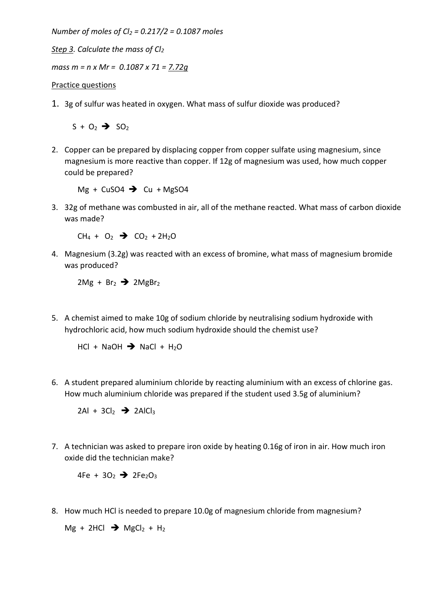*Number of moles of Cl<sup>2</sup> = 0.217/2 = 0.1087 moles*

*Step 3. Calculate the mass of Cl<sup>2</sup>*

*mass m = n x Mr = 0.1087 x 71 = 7.72g*

### Practice questions

1. 3g of sulfur was heated in oxygen. What mass of sulfur dioxide was produced?

 $S + O_2 \rightarrow SO_2$ 

2. Copper can be prepared by displacing copper from copper sulfate using magnesium, since magnesium is more reactive than copper. If 12g of magnesium was used, how much copper could be prepared?

Mg + CuSO4  $\rightarrow$  Cu + MgSO4

3. 32g of methane was combusted in air, all of the methane reacted. What mass of carbon dioxide was made?

 $CH_4 + O_2$   $\rightarrow$   $CO_2 + 2H_2O$ 

4. Magnesium (3.2g) was reacted with an excess of bromine, what mass of magnesium bromide was produced?

 $2Mg + Br<sub>2</sub>$   $\rightarrow$  2MgBr<sub>2</sub>

5. A chemist aimed to make 10g of sodium chloride by neutralising sodium hydroxide with hydrochloric acid, how much sodium hydroxide should the chemist use?

 $HCl + NaOH \rightarrow NaCl + H<sub>2</sub>O$ 

6. A student prepared aluminium chloride by reacting aluminium with an excess of chlorine gas. How much aluminium chloride was prepared if the student used 3.5g of aluminium?

 $2AI + 3CI<sub>2</sub>$   $\rightarrow$  2AlCl<sub>3</sub>

7. A technician was asked to prepare iron oxide by heating 0.16g of iron in air. How much iron oxide did the technician make?

 $4Fe + 3O_2$   $\rightarrow$   $2Fe_2O_3$ 

8. How much HCl is needed to prepare 10.0g of magnesium chloride from magnesium?

 $Mg + 2HCl \rightarrow MgCl<sub>2</sub> + H<sub>2</sub>$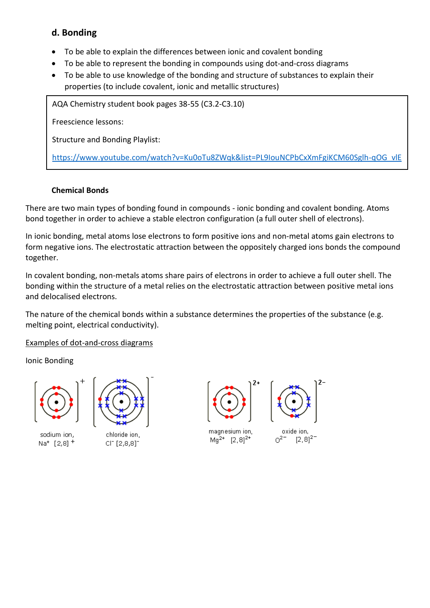# **d. Bonding**

- To be able to explain the differences between ionic and covalent bonding
- To be able to represent the bonding in compounds using dot-and-cross diagrams
- To be able to use knowledge of the bonding and structure of substances to explain their properties (to include covalent, ionic and metallic structures)

 $\overline{\phantom{a}}$ AQA Chemistry student book pages 38-55 (C3.2-C3.10)

Freescience lessons:

Structure and Bonding Playlist:

[https://www.youtube.com/watch?v=Ku0oTu8ZWqk&list=PL9IouNCPbCxXmFgiKCM60Sglh-qOG\\_vlE](https://www.youtube.com/watch?v=Ku0oTu8ZWqk&list=PL9IouNCPbCxXmFgiKCM60Sglh-qOG_vlE)

# **Chemical Bonds**

There are two main types of bonding found in compounds - ionic bonding and covalent bonding. Atoms bond together in order to achieve a stable electron configuration (a full outer shell of electrons).

In ionic bonding, metal atoms lose electrons to form positive ions and non-metal atoms gain electrons to form negative ions. The electrostatic attraction between the oppositely charged ions bonds the compound together.

In covalent bonding, non-metals atoms share pairs of electrons in order to achieve a full outer shell. The bonding within the structure of a metal relies on the electrostatic attraction between positive metal ions and delocalised electrons.

The nature of the chemical bonds within a substance determines the properties of the substance (e.g. melting point, electrical conductivity).

# Examples of dot-and-cross diagrams

Ionic Bonding



sodium ion,  $Na<sup>+</sup>$  [2,8] <sup>+</sup>



chloride ion, CIT [2,8,8]<sup>-</sup>



magnesium ion,  $Ma^{2+}$  [2, 8]<sup>2+</sup>



oxide ion,  $0^{2}$   $[2.8]^{2}$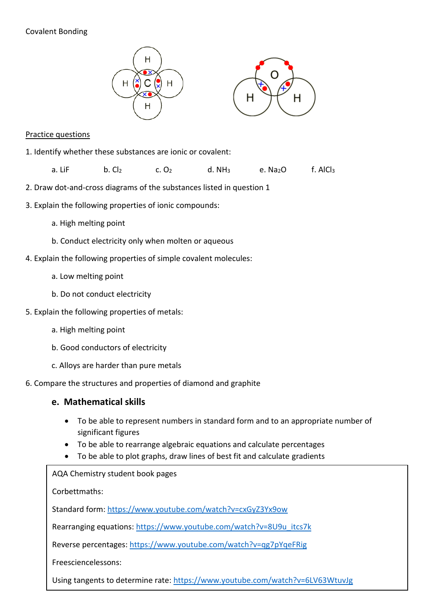# Covalent Bonding





### Practice questions

- 1. Identify whether these substances are ionic or covalent:
	- a. LiF b. Cl<sub>2</sub> c. O<sub>2</sub> d. NH<sub>3</sub> e. Na<sub>2</sub>O f. AlCl<sub>3</sub>
- 2. Draw dot-and-cross diagrams of the substances listed in question 1
- 3. Explain the following properties of ionic compounds:
	- a. High melting point
	- b. Conduct electricity only when molten or aqueous
- 4. Explain the following properties of simple covalent molecules:
	- a. Low melting point
	- b. Do not conduct electricity
- 5. Explain the following properties of metals:
	- a. High melting point
	- b. Good conductors of electricity
	- c. Alloys are harder than pure metals
- 6. Compare the structures and properties of diamond and graphite

# **e. Mathematical skills**

- To be able to represent numbers in standard form and to an appropriate number of significant figures
- To be able to rearrange algebraic equations and calculate percentages
- To be able to plot graphs, draw lines of best fit and calculate gradients

• AQA Chemistry student book pages

Corbettmaths:

Standard form[: https://www.youtube.com/watch?v=cxGyZ3Yx9ow](https://www.youtube.com/watch?v=cxGyZ3Yx9ow)

Rearranging equations: [https://www.youtube.com/watch?v=8U9u\\_itcs7k](https://www.youtube.com/watch?v=8U9u_itcs7k)

Reverse percentages:<https://www.youtube.com/watch?v=qg7pYqeFRig>

Freesciencelessons:

Using tangents to determine rate:<https://www.youtube.com/watch?v=6LV63WtuvJg>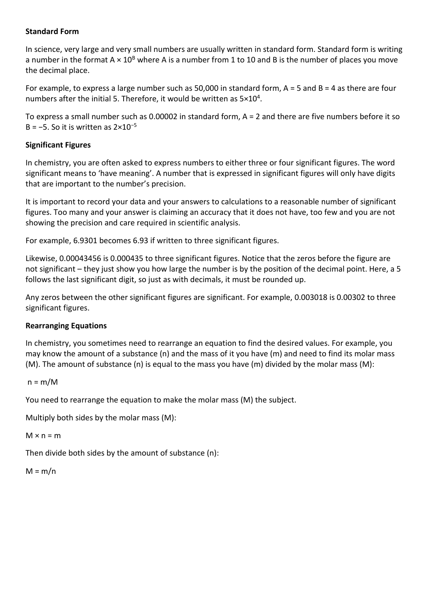### **Standard Form**

In science, very large and very small numbers are usually written in standard form. Standard form is writing a number in the format  $A \times 10^8$  where A is a number from 1 to 10 and B is the number of places you move the decimal place.

For example, to express a large number such as 50,000 in standard form, A = 5 and B = 4 as there are four numbers after the initial 5. Therefore, it would be written as  $5\times10^4$ .

To express a small number such as 0.00002 in standard form, A = 2 and there are five numbers before it so B =  $-5$ . So it is written as  $2 \times 10^{-5}$ 

# **Significant Figures**

In chemistry, you are often asked to express numbers to either three or four significant figures. The word significant means to 'have meaning'. A number that is expressed in significant figures will only have digits that are important to the number's precision.

It is important to record your data and your answers to calculations to a reasonable number of significant figures. Too many and your answer is claiming an accuracy that it does not have, too few and you are not showing the precision and care required in scientific analysis.

For example, 6.9301 becomes 6.93 if written to three significant figures.

Likewise, 0.00043456 is 0.000435 to three significant figures. Notice that the zeros before the figure are not significant – they just show you how large the number is by the position of the decimal point. Here, a 5 follows the last significant digit, so just as with decimals, it must be rounded up.

Any zeros between the other significant figures are significant. For example, 0.003018 is 0.00302 to three significant figures.

### **Rearranging Equations**

In chemistry, you sometimes need to rearrange an equation to find the desired values. For example, you may know the amount of a substance (n) and the mass of it you have (m) and need to find its molar mass  $(M)$ . The amount of substance  $(n)$  is equal to the mass you have  $(m)$  divided by the molar mass  $(M)$ :

```
n = m/M
```
You need to rearrange the equation to make the molar mass (M) the subject.

Multiply both sides by the molar mass (M):

 $M \times n = m$ 

Then divide both sides by the amount of substance (n):

 $M = m/n$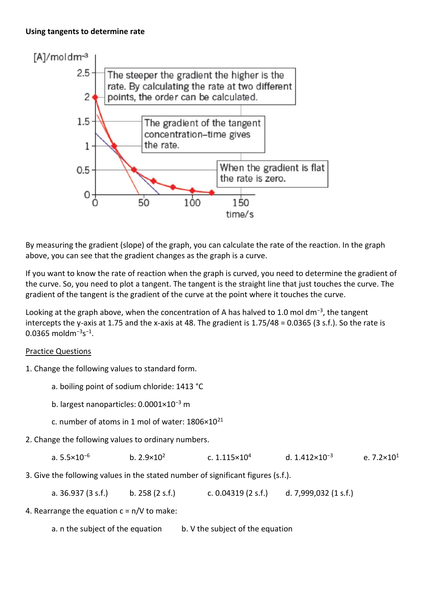### **Using tangents to determine rate**



By measuring the gradient (slope) of the graph, you can calculate the rate of the reaction. In the graph above, you can see that the gradient changes as the graph is a curve.

If you want to know the rate of reaction when the graph is curved, you need to determine the gradient of the curve. So, you need to plot a tangent. The tangent is the straight line that just touches the curve. The gradient of the tangent is the gradient of the curve at the point where it touches the curve.

Looking at the graph above, when the concentration of A has halved to 1.0 mol dm<sup>-3</sup>, the tangent intercepts the y-axis at 1.75 and the x-axis at 48. The gradient is 1.75/48 = 0.0365 (3 s.f.). So the rate is  $0.0365 \text{ moldm}^{-3}$ s<sup>-1</sup>.

# Practice Questions

- 1. Change the following values to standard form.
	- a. boiling point of sodium chloride: 1413 °C
	- b. largest nanoparticles: 0.0001×10<sup>−</sup><sup>3</sup> m
	- c. number of atoms in 1 mol of water: 1806×10<sup>21</sup>
- 2. Change the following values to ordinary numbers.

| d. 1.412×10 <sup>-3</sup><br>a. $5.5 \times 10^{-6}$<br>b. $2.9 \times 10^2$<br>c. $1.115 \times 10^4$ | e. $7.2 \times 10^1$ |
|--------------------------------------------------------------------------------------------------------|----------------------|
|--------------------------------------------------------------------------------------------------------|----------------------|

3. Give the following values in the stated number of significant figures (s.f.).

a. 36.937 (3 s.f.) b. 258 (2 s.f.) c. 0.04319 (2 s.f.) d. 7,999,032 (1 s.f.)

4. Rearrange the equation  $c = n/V$  to make:

a. n the subject of the equation b. V the subject of the equation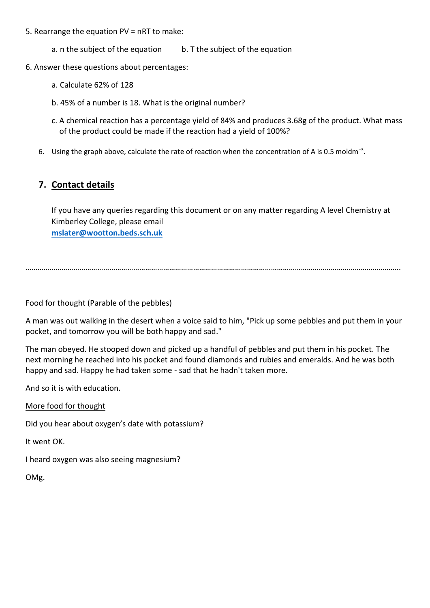- 5. Rearrange the equation PV = nRT to make:
	- a. n the subject of the equation b. T the subject of the equation
- 6. Answer these questions about percentages:
	- a. Calculate 62% of 128
	- b. 45% of a number is 18. What is the original number?
	- c. A chemical reaction has a percentage yield of 84% and produces 3.68g of the product. What mass of the product could be made if the reaction had a yield of 100%?
	- 6. Using the graph above, calculate the rate of reaction when the concentration of A is 0.5 moldm<sup>-3</sup>.

# **7. Contact details**

If you have any queries regarding this document or on any matter regarding A level Chemistry at Kimberley College, please email **[mslater@wootton.beds.sch.uk](mailto:mslater@wootton.beds.sch.uk)**

……………………………………………………………………………………………………………………………………………………………………..

### Food for thought (Parable of the pebbles)

A man was out walking in the desert when a voice said to him, "Pick up some pebbles and put them in your pocket, and tomorrow you will be both happy and sad."

The man obeyed. He stooped down and picked up a handful of pebbles and put them in his pocket. The next morning he reached into his pocket and found diamonds and rubies and emeralds. And he was both happy and sad. Happy he had taken some - sad that he hadn't taken more.

And so it is with education.

More food for thought

Did you hear about oxygen's date with potassium?

It went OK.

I heard oxygen was also seeing magnesium?

OMg.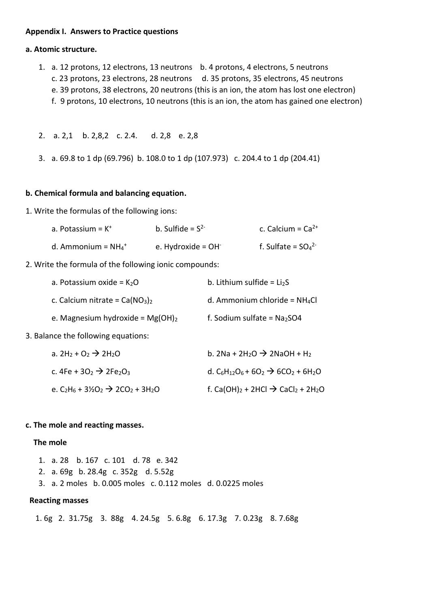### **Appendix I. Answers to Practice questions**

### **a. Atomic structure.**

- 1. a. 12 protons, 12 electrons, 13 neutrons b. 4 protons, 4 electrons, 5 neutrons
	- c. 23 protons, 23 electrons, 28 neutrons d. 35 protons, 35 electrons, 45 neutrons
	- e. 39 protons, 38 electrons, 20 neutrons (this is an ion, the atom has lost one electron)
	- f. 9 protons, 10 electrons, 10 neutrons (this is an ion, the atom has gained one electron)

2. a. 2,1 b. 2,8,2 c. 2.4. d. 2,8 e. 2,8

3. a. 69.8 to 1 dp (69.796) b. 108.0 to 1 dp (107.973) c. 204.4 to 1 dp (204.41)

### **b. Chemical formula and balancing equation.**

1. Write the formulas of the following ions:

| a. Potassium = $K^+$              | b. Sulfide = $S^{2-}$ | c. Calcium = $Ca^{2+}$ |
|-----------------------------------|-----------------------|------------------------|
| d. Ammonium = $NH_4$ <sup>+</sup> | e. Hydroxide = $OH^-$ | f. Sulfate = $SO_4^2$  |

2. Write the formula of the following ionic compounds:

| a. Potassium oxide = $K_2O$        | b. Lithium sulfide = $Li2S$     |
|------------------------------------|---------------------------------|
| c. Calcium nitrate = $Ca(NO3)2$    | d. Ammonium chloride = $NH_4Cl$ |
| e. Magnesium hydroxide = $Mg(OH)2$ | f. Sodium sulfate = $Na2SO4$    |

3. Balance the following equations:

| a. 2H <sub>2</sub> + O <sub>2</sub> $\rightarrow$ 2H <sub>2</sub> O                                    | b. 2Na + 2H <sub>2</sub> O $\rightarrow$ 2NaOH + H <sub>2</sub>                                                       |
|--------------------------------------------------------------------------------------------------------|-----------------------------------------------------------------------------------------------------------------------|
| c. 4Fe + 3O <sub>2</sub> $\rightarrow$ 2Fe <sub>2</sub> O <sub>3</sub>                                 | d. C <sub>6</sub> H <sub>12</sub> O <sub>6</sub> + 6O <sub>2</sub> $\rightarrow$ 6CO <sub>2</sub> + 6H <sub>2</sub> O |
| e. C <sub>2</sub> H <sub>6</sub> + 3½O <sub>2</sub> $\rightarrow$ 2CO <sub>2</sub> + 3H <sub>2</sub> O | f. Ca(OH) <sub>2</sub> + 2HCl $\rightarrow$ CaCl <sub>2</sub> + 2H <sub>2</sub> O                                     |

### **c. The mole and reacting masses.**

### **The mole**

|  | 1. a. 28 b. 167 c. 101 d. 78 e. 342 |                                                             |
|--|-------------------------------------|-------------------------------------------------------------|
|  | 2. a. 69g b. 28.4g c. 352g d. 5.52g |                                                             |
|  |                                     | 3. a. 2 moles b. 0.005 moles c. 0.112 moles d. 0.0225 moles |

### **Reacting masses**

1. 6g 2. 31.75g 3. 88g 4. 24.5g 5. 6.8g 6. 17.3g 7. 0.23g 8. 7.68g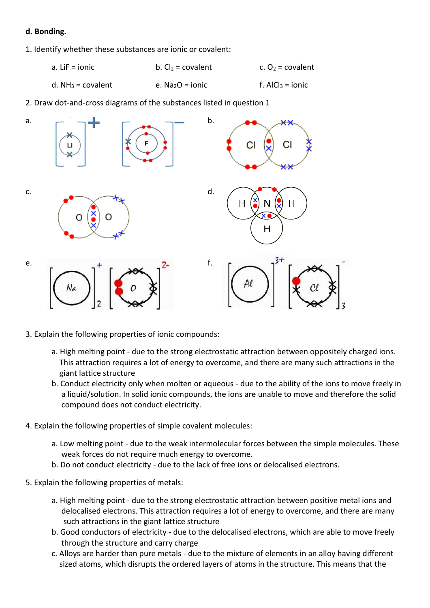### **d. Bonding.**

- 1. Identify whether these substances are ionic or covalent:
	- a. LiF = ionic b.  $Cl_2$  = covalent c.  $O_2$  = covalent
	- d. NH<sub>3</sub> = covalent e. Na<sub>2</sub>O = ionic f. AlCl<sub>3</sub> = ionic

2. Draw dot-and-cross diagrams of the substances listed in question 1



- 3. Explain the following properties of ionic compounds:
	- a. High melting point due to the strong electrostatic attraction between oppositely charged ions. This attraction requires a lot of energy to overcome, and there are many such attractions in the giant lattice structure
	- b. Conduct electricity only when molten or aqueous due to the ability of the ions to move freely in a liquid/solution. In solid ionic compounds, the ions are unable to move and therefore the solid compound does not conduct electricity.
- 4. Explain the following properties of simple covalent molecules:
	- a. Low melting point due to the weak intermolecular forces between the simple molecules. These weak forces do not require much energy to overcome.
	- b. Do not conduct electricity due to the lack of free ions or delocalised electrons.
- 5. Explain the following properties of metals:
	- a. High melting point due to the strong electrostatic attraction between positive metal ions and delocalised electrons. This attraction requires a lot of energy to overcome, and there are many such attractions in the giant lattice structure
	- b. Good conductors of electricity due to the delocalised electrons, which are able to move freely through the structure and carry charge
	- c. Alloys are harder than pure metals due to the mixture of elements in an alloy having different sized atoms, which disrupts the ordered layers of atoms in the structure. This means that the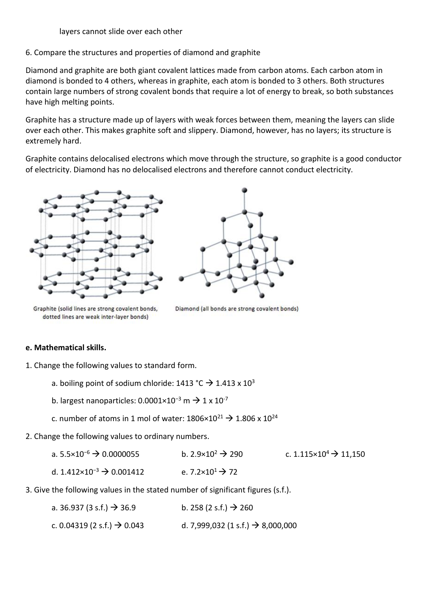6. Compare the structures and properties of diamond and graphite

Diamond and graphite are both giant covalent lattices made from carbon atoms. Each carbon atom in diamond is bonded to 4 others, whereas in graphite, each atom is bonded to 3 others. Both structures contain large numbers of strong covalent bonds that require a lot of energy to break, so both substances have high melting points.

Graphite has a structure made up of layers with weak forces between them, meaning the layers can slide over each other. This makes graphite soft and slippery. Diamond, however, has no layers; its structure is extremely hard.

Graphite contains delocalised electrons which move through the structure, so graphite is a good conductor of electricity. Diamond has no delocalised electrons and therefore cannot conduct electricity.





Graphite (solid lines are strong covalent bonds, dotted lines are weak inter-layer bonds)

Diamond (all bonds are strong covalent bonds)

# **e. Mathematical skills.**

- 1. Change the following values to standard form.
	- a. boiling point of sodium chloride:  $1413 \text{ °C} \rightarrow 1.413 \times 10^3$
	- b. largest nanoparticles:  $0.0001 \times 10^{-3}$  m  $\rightarrow 1 \times 10^{-7}$
	- c. number of atoms in 1 mol of water:  $1806 \times 10^{21} \rightarrow 1.806 \times 10^{24}$
- 2. Change the following values to ordinary numbers.

| a. $5.5 \times 10^{-6}$ $\rightarrow$ 0.0000055 | b. $2.9 \times 10^2$ $\rightarrow$ 290  | c. 1.115 $\times$ 10 <sup>4</sup> $\rightarrow$ 11,150 |
|-------------------------------------------------|-----------------------------------------|--------------------------------------------------------|
| d. $1.412\times10^{-3}$ $\rightarrow$ 0.001412  | e. 7.2×10 <sup>1</sup> $\rightarrow$ 72 |                                                        |

3. Give the following values in the stated number of significant figures (s.f.).

| a. 36.937 (3 s.f.) $\rightarrow$ 36.9   | b. 258 (2 s.f.) $\rightarrow$ 260             |
|-----------------------------------------|-----------------------------------------------|
| c. 0.04319 (2 s.f.) $\rightarrow$ 0.043 | d. 7,999,032 (1 s.f.) $\rightarrow$ 8,000,000 |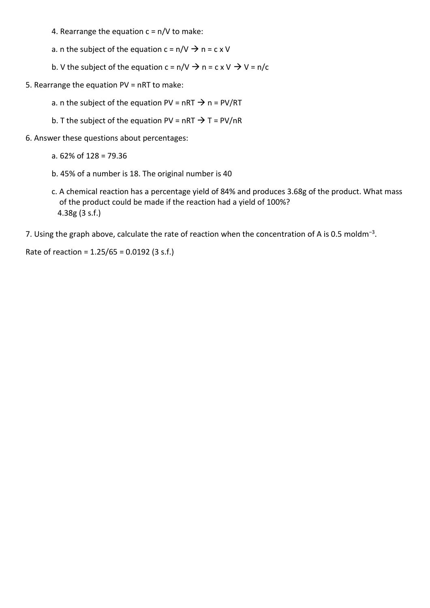4. Rearrange the equation  $c = n/V$  to make:

a. n the subject of the equation  $c = n/V \rightarrow n = c \times V$ 

- b. V the subject of the equation  $c = n/V \rightarrow n = c \times V \rightarrow V = n/c$
- 5. Rearrange the equation PV = nRT to make:
	- a. n the subject of the equation PV = nRT  $\rightarrow$  n = PV/RT
	- b. T the subject of the equation PV = nRT  $\rightarrow$  T = PV/nR
- 6. Answer these questions about percentages:
	- a. 62% of 128 = 79.36
	- b. 45% of a number is 18. The original number is 40
	- c. A chemical reaction has a percentage yield of 84% and produces 3.68g of the product. What mass of the product could be made if the reaction had a yield of 100%? 4.38g (3 s.f.)
- 7. Using the graph above, calculate the rate of reaction when the concentration of A is 0.5 moldm<sup>-3</sup>.

Rate of reaction = 1.25/65 = 0.0192 (3 s.f.)